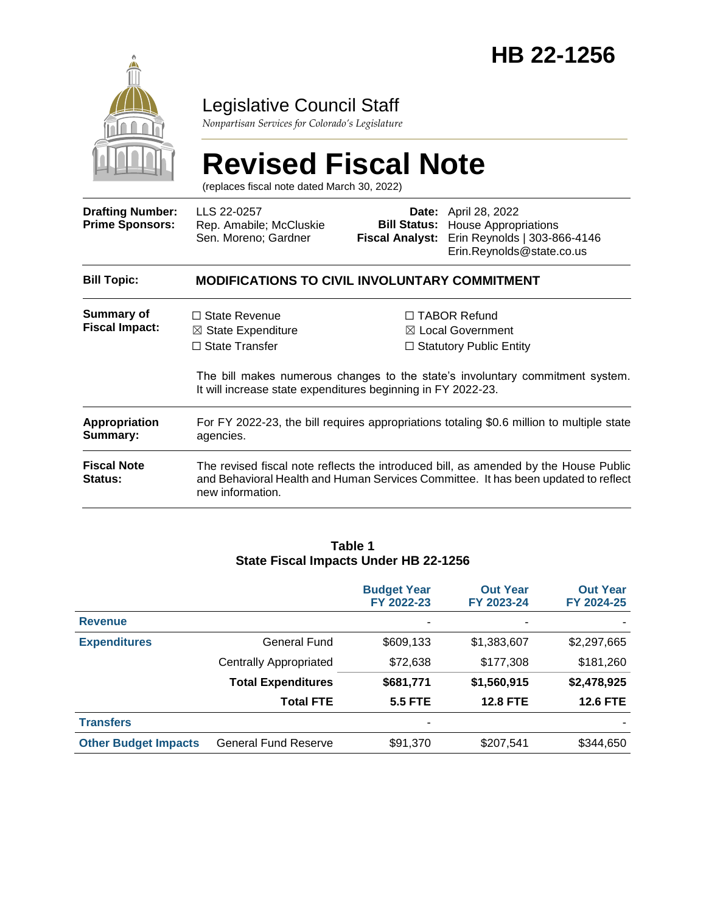

## Legislative Council Staff

*Nonpartisan Services for Colorado's Legislature*

# **Revised Fiscal Note**

(replaces fiscal note dated March 30, 2022)

| <b>Drafting Number:</b><br><b>Prime Sponsors:</b> | LLS 22-0257<br>Rep. Amabile; McCluskie<br>Sen. Moreno; Gardner                                                                                                                                 | <b>Fiscal Analyst:</b> | <b>Date:</b> April 28, 2022<br><b>Bill Status:</b> House Appropriations<br>Erin Reynolds   303-866-4146<br>Erin.Reynolds@state.co.us |  |  |
|---------------------------------------------------|------------------------------------------------------------------------------------------------------------------------------------------------------------------------------------------------|------------------------|--------------------------------------------------------------------------------------------------------------------------------------|--|--|
| <b>Bill Topic:</b>                                | <b>MODIFICATIONS TO CIVIL INVOLUNTARY COMMITMENT</b>                                                                                                                                           |                        |                                                                                                                                      |  |  |
| <b>Summary of</b><br><b>Fiscal Impact:</b>        | $\Box$ State Revenue<br>$\boxtimes$ State Expenditure<br>$\Box$ State Transfer                                                                                                                 |                        | $\Box$ TABOR Refund<br>$\boxtimes$ Local Government<br>$\Box$ Statutory Public Entity                                                |  |  |
|                                                   | The bill makes numerous changes to the state's involuntary commitment system.<br>It will increase state expenditures beginning in FY 2022-23.                                                  |                        |                                                                                                                                      |  |  |
| <b>Appropriation</b><br>Summary:                  | For FY 2022-23, the bill requires appropriations totaling \$0.6 million to multiple state<br>agencies.                                                                                         |                        |                                                                                                                                      |  |  |
| <b>Fiscal Note</b><br><b>Status:</b>              | The revised fiscal note reflects the introduced bill, as amended by the House Public<br>and Behavioral Health and Human Services Committee. It has been updated to reflect<br>new information. |                        |                                                                                                                                      |  |  |

#### **Table 1 State Fiscal Impacts Under HB 22-1256**

|                             |                               | <b>Budget Year</b><br>FY 2022-23 | <b>Out Year</b><br>FY 2023-24 | <b>Out Year</b><br>FY 2024-25 |
|-----------------------------|-------------------------------|----------------------------------|-------------------------------|-------------------------------|
| <b>Revenue</b>              |                               | ۰                                | ٠                             |                               |
| <b>Expenditures</b>         | General Fund                  | \$609,133                        | \$1,383,607                   | \$2,297,665                   |
|                             | <b>Centrally Appropriated</b> | \$72,638                         | \$177,308                     | \$181,260                     |
|                             | <b>Total Expenditures</b>     | \$681,771                        | \$1,560,915                   | \$2,478,925                   |
|                             | <b>Total FTE</b>              | <b>5.5 FTE</b>                   | <b>12.8 FTE</b>               | <b>12.6 FTE</b>               |
| <b>Transfers</b>            |                               | -                                |                               |                               |
| <b>Other Budget Impacts</b> | <b>General Fund Reserve</b>   | \$91,370                         | \$207,541                     | \$344,650                     |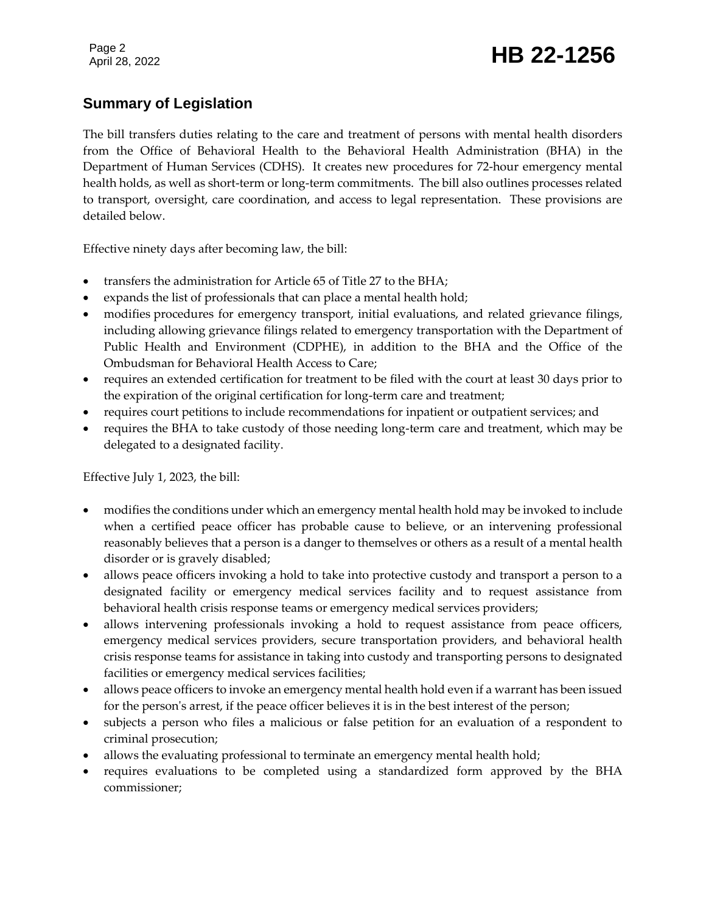## Page 2<br>April 28, 2022 **HB 22-1256**

## **Summary of Legislation**

The bill transfers duties relating to the care and treatment of persons with mental health disorders from the Office of Behavioral Health to the Behavioral Health Administration (BHA) in the Department of Human Services (CDHS). It creates new procedures for 72-hour emergency mental health holds, as well as short-term or long-term commitments. The bill also outlines processes related to transport, oversight, care coordination, and access to legal representation. These provisions are detailed below.

Effective ninety days after becoming law, the bill:

- transfers the administration for Article 65 of Title 27 to the BHA;
- expands the list of professionals that can place a mental health hold;
- modifies procedures for emergency transport, initial evaluations, and related grievance filings, including allowing grievance filings related to emergency transportation with the Department of Public Health and Environment (CDPHE), in addition to the BHA and the Office of the Ombudsman for Behavioral Health Access to Care;
- requires an extended certification for treatment to be filed with the court at least 30 days prior to the expiration of the original certification for long-term care and treatment;
- requires court petitions to include recommendations for inpatient or outpatient services; and
- requires the BHA to take custody of those needing long-term care and treatment, which may be delegated to a designated facility.

Effective July 1, 2023, the bill:

- modifies the conditions under which an emergency mental health hold may be invoked to include when a certified peace officer has probable cause to believe, or an intervening professional reasonably believes that a person is a danger to themselves or others as a result of a mental health disorder or is gravely disabled;
- allows peace officers invoking a hold to take into protective custody and transport a person to a designated facility or emergency medical services facility and to request assistance from behavioral health crisis response teams or emergency medical services providers;
- allows intervening professionals invoking a hold to request assistance from peace officers, emergency medical services providers, secure transportation providers, and behavioral health crisis response teams for assistance in taking into custody and transporting persons to designated facilities or emergency medical services facilities;
- allows peace officers to invoke an emergency mental health hold even if a warrant has been issued for the person's arrest, if the peace officer believes it is in the best interest of the person;
- subjects a person who files a malicious or false petition for an evaluation of a respondent to criminal prosecution;
- allows the evaluating professional to terminate an emergency mental health hold;
- requires evaluations to be completed using a standardized form approved by the BHA commissioner;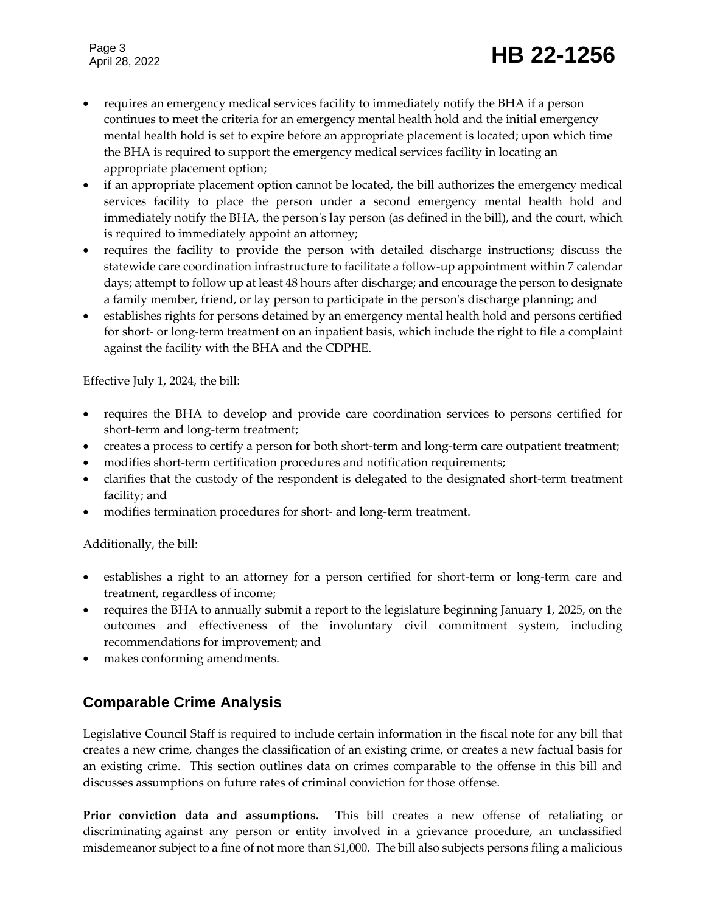## Page 3<br>April 28, 2022 **HB 22-1256**

- requires an emergency medical services facility to immediately notify the BHA if a person continues to meet the criteria for an emergency mental health hold and the initial emergency mental health hold is set to expire before an appropriate placement is located; upon which time the BHA is required to support the emergency medical services facility in locating an appropriate placement option;
- if an appropriate placement option cannot be located, the bill authorizes the emergency medical services facility to place the person under a second emergency mental health hold and immediately notify the BHA, the person's lay person (as defined in the bill), and the court, which is required to immediately appoint an attorney;
- requires the facility to provide the person with detailed discharge instructions; discuss the statewide care coordination infrastructure to facilitate a follow-up appointment within 7 calendar days; attempt to follow up at least 48 hours after discharge; and encourage the person to designate a family member, friend, or lay person to participate in the person's discharge planning; and
- establishes rights for persons detained by an emergency mental health hold and persons certified for short- or long-term treatment on an inpatient basis, which include the right to file a complaint against the facility with the BHA and the CDPHE.

Effective July 1, 2024, the bill:

- requires the BHA to develop and provide care coordination services to persons certified for short-term and long-term treatment;
- creates a process to certify a person for both short-term and long-term care outpatient treatment;
- modifies short-term certification procedures and notification requirements;
- clarifies that the custody of the respondent is delegated to the designated short-term treatment facility; and
- modifies termination procedures for short- and long-term treatment.

Additionally, the bill:

- establishes a right to an attorney for a person certified for short-term or long-term care and treatment, regardless of income;
- requires the BHA to annually submit a report to the legislature beginning January 1, 2025, on the outcomes and effectiveness of the involuntary civil commitment system, including recommendations for improvement; and
- makes conforming amendments.

## **Comparable Crime Analysis**

Legislative Council Staff is required to include certain information in the fiscal note for any bill that creates a new crime, changes the classification of an existing crime, or creates a new factual basis for an existing crime. This section outlines data on crimes comparable to the offense in this bill and discusses assumptions on future rates of criminal conviction for those offense.

**Prior conviction data and assumptions.** This bill creates a new offense of retaliating or discriminating against any person or entity involved in a grievance procedure, an unclassified misdemeanor subject to a fine of not more than \$1,000. The bill also subjects persons filing a malicious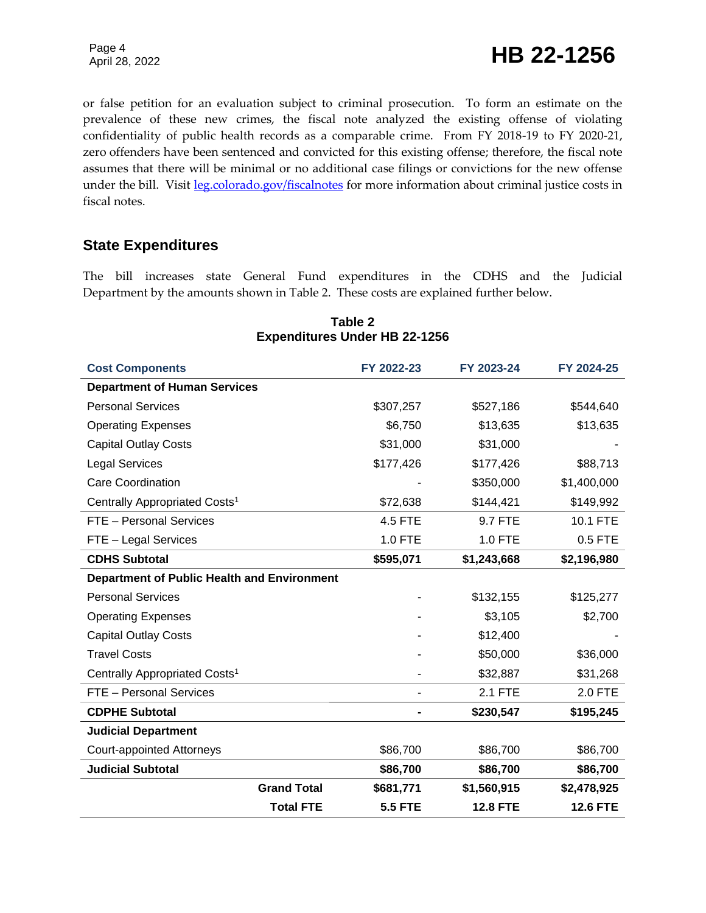Page 4<br>April 28, 2022 **HB 22-1256** 

or false petition for an evaluation subject to criminal prosecution. To form an estimate on the prevalence of these new crimes, the fiscal note analyzed the existing offense of violating confidentiality of public health records as a comparable crime. From FY 2018-19 to FY 2020-21, zero offenders have been sentenced and convicted for this existing offense; therefore, the fiscal note assumes that there will be minimal or no additional case filings or convictions for the new offense under the bill. Visit [leg.colorado.gov/fiscalnotes](http://leg.colorado.gov/fiscalnotes/) for more information about criminal justice costs in fiscal notes.

### **State Expenditures**

The bill increases state General Fund expenditures in the CDHS and the Judicial Department by the amounts shown in Table 2. These costs are explained further below.

| <b>Cost Components</b>                             | FY 2022-23     | FY 2023-24      | FY 2024-25      |
|----------------------------------------------------|----------------|-----------------|-----------------|
| <b>Department of Human Services</b>                |                |                 |                 |
| <b>Personal Services</b>                           | \$307,257      | \$527,186       | \$544,640       |
| <b>Operating Expenses</b>                          | \$6,750        | \$13,635        | \$13,635        |
| <b>Capital Outlay Costs</b>                        | \$31,000       | \$31,000        |                 |
| <b>Legal Services</b>                              | \$177,426      | \$177,426       | \$88,713        |
| <b>Care Coordination</b>                           |                | \$350,000       | \$1,400,000     |
| Centrally Appropriated Costs <sup>1</sup>          | \$72,638       | \$144,421       | \$149,992       |
| FTE - Personal Services                            | <b>4.5 FTE</b> | 9.7 FTE         | 10.1 FTE        |
| FTE - Legal Services                               | 1.0 FTE        | 1.0 FTE         | 0.5 FTE         |
| <b>CDHS Subtotal</b>                               | \$595,071      | \$1,243,668     | \$2,196,980     |
| <b>Department of Public Health and Environment</b> |                |                 |                 |
| <b>Personal Services</b>                           |                | \$132,155       | \$125,277       |
| <b>Operating Expenses</b>                          |                | \$3,105         | \$2,700         |
| <b>Capital Outlay Costs</b>                        |                | \$12,400        |                 |
| <b>Travel Costs</b>                                |                | \$50,000        | \$36,000        |
| Centrally Appropriated Costs <sup>1</sup>          |                | \$32,887        | \$31,268        |
| FTE - Personal Services                            |                | 2.1 FTE         | 2.0 FTE         |
| <b>CDPHE Subtotal</b>                              |                | \$230,547       | \$195,245       |
| <b>Judicial Department</b>                         |                |                 |                 |
| <b>Court-appointed Attorneys</b>                   | \$86,700       | \$86,700        | \$86,700        |
| <b>Judicial Subtotal</b>                           | \$86,700       | \$86,700        | \$86,700        |
| <b>Grand Total</b>                                 | \$681,771      | \$1,560,915     | \$2,478,925     |
| <b>Total FTE</b>                                   | <b>5.5 FTE</b> | <b>12.8 FTE</b> | <b>12.6 FTE</b> |

#### **Table 2 Expenditures Under HB 22-1256**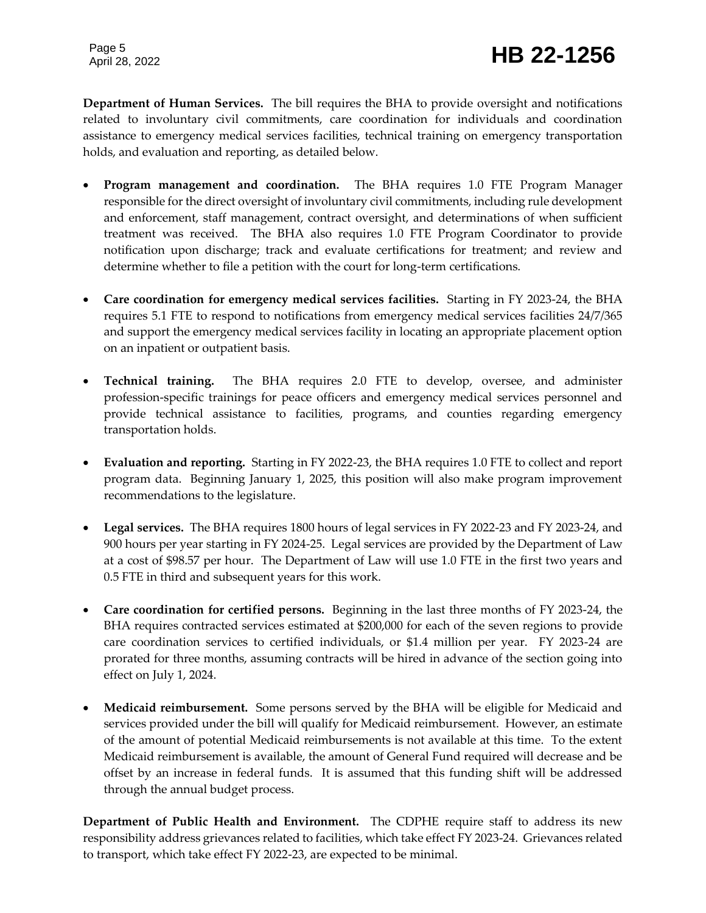## Page 5<br>April 28, 2022 **HB 22-1256**

**Department of Human Services.** The bill requires the BHA to provide oversight and notifications related to involuntary civil commitments, care coordination for individuals and coordination assistance to emergency medical services facilities, technical training on emergency transportation holds, and evaluation and reporting, as detailed below.

- **Program management and coordination.** The BHA requires 1.0 FTE Program Manager responsible for the direct oversight of involuntary civil commitments, including rule development and enforcement, staff management, contract oversight, and determinations of when sufficient treatment was received. The BHA also requires 1.0 FTE Program Coordinator to provide notification upon discharge; track and evaluate certifications for treatment; and review and determine whether to file a petition with the court for long-term certifications.
- **Care coordination for emergency medical services facilities.** Starting in FY 2023-24, the BHA requires 5.1 FTE to respond to notifications from emergency medical services facilities 24/7/365 and support the emergency medical services facility in locating an appropriate placement option on an inpatient or outpatient basis.
- **Technical training.** The BHA requires 2.0 FTE to develop, oversee, and administer profession-specific trainings for peace officers and emergency medical services personnel and provide technical assistance to facilities, programs, and counties regarding emergency transportation holds.
- **Evaluation and reporting.** Starting in FY 2022-23, the BHA requires 1.0 FTE to collect and report program data. Beginning January 1, 2025, this position will also make program improvement recommendations to the legislature.
- **Legal services.** The BHA requires 1800 hours of legal services in FY 2022-23 and FY 2023-24, and 900 hours per year starting in FY 2024-25. Legal services are provided by the Department of Law at a cost of \$98.57 per hour. The Department of Law will use 1.0 FTE in the first two years and 0.5 FTE in third and subsequent years for this work.
- **Care coordination for certified persons.** Beginning in the last three months of FY 2023-24, the BHA requires contracted services estimated at \$200,000 for each of the seven regions to provide care coordination services to certified individuals, or \$1.4 million per year. FY 2023-24 are prorated for three months, assuming contracts will be hired in advance of the section going into effect on July 1, 2024.
- **Medicaid reimbursement.** Some persons served by the BHA will be eligible for Medicaid and services provided under the bill will qualify for Medicaid reimbursement. However, an estimate of the amount of potential Medicaid reimbursements is not available at this time. To the extent Medicaid reimbursement is available, the amount of General Fund required will decrease and be offset by an increase in federal funds. It is assumed that this funding shift will be addressed through the annual budget process.

**Department of Public Health and Environment.** The CDPHE require staff to address its new responsibility address grievances related to facilities, which take effect FY 2023-24. Grievances related to transport, which take effect FY 2022-23, are expected to be minimal.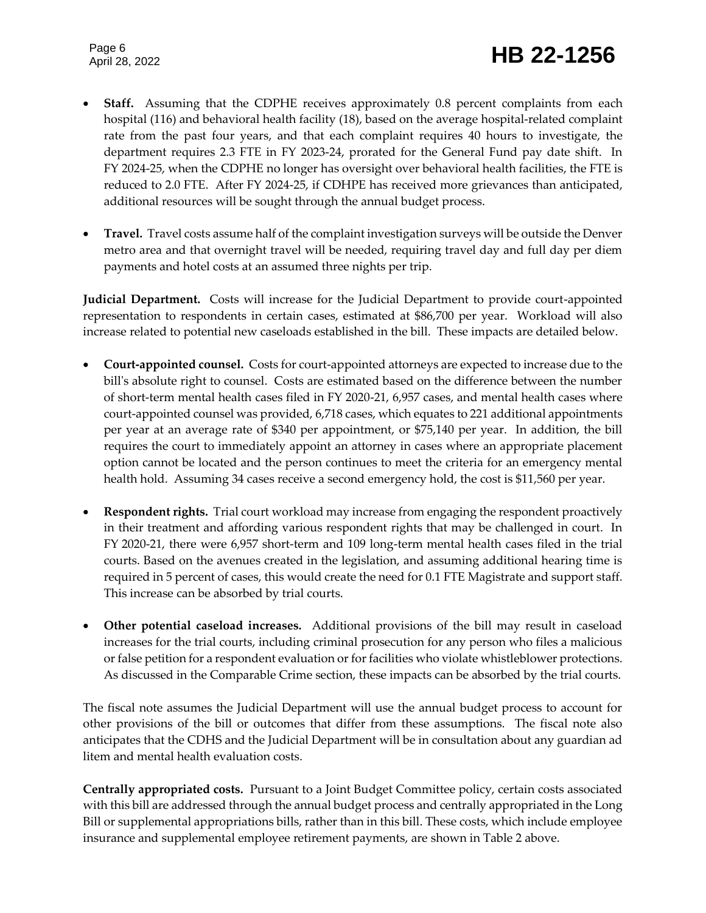## Page 6<br>April 28, 2022 **HB 22-1256**

- **Staff.** Assuming that the CDPHE receives approximately 0.8 percent complaints from each hospital (116) and behavioral health facility (18), based on the average hospital-related complaint rate from the past four years, and that each complaint requires 40 hours to investigate, the department requires 2.3 FTE in FY 2023-24, prorated for the General Fund pay date shift. In FY 2024-25, when the CDPHE no longer has oversight over behavioral health facilities, the FTE is reduced to 2.0 FTE. After FY 2024-25, if CDHPE has received more grievances than anticipated, additional resources will be sought through the annual budget process.
- **Travel.** Travel costs assume half of the complaint investigation surveys will be outside the Denver metro area and that overnight travel will be needed, requiring travel day and full day per diem payments and hotel costs at an assumed three nights per trip.

**Judicial Department.** Costs will increase for the Judicial Department to provide court-appointed representation to respondents in certain cases, estimated at \$86,700 per year. Workload will also increase related to potential new caseloads established in the bill. These impacts are detailed below.

- **Court-appointed counsel.** Costs for court-appointed attorneys are expected to increase due to the bill's absolute right to counsel. Costs are estimated based on the difference between the number of short-term mental health cases filed in FY 2020-21, 6,957 cases, and mental health cases where court-appointed counsel was provided, 6,718 cases, which equates to 221 additional appointments per year at an average rate of \$340 per appointment, or \$75,140 per year. In addition, the bill requires the court to immediately appoint an attorney in cases where an appropriate placement option cannot be located and the person continues to meet the criteria for an emergency mental health hold. Assuming 34 cases receive a second emergency hold, the cost is \$11,560 per year.
- **Respondent rights.** Trial court workload may increase from engaging the respondent proactively in their treatment and affording various respondent rights that may be challenged in court. In FY 2020-21, there were 6,957 short-term and 109 long-term mental health cases filed in the trial courts. Based on the avenues created in the legislation, and assuming additional hearing time is required in 5 percent of cases, this would create the need for 0.1 FTE Magistrate and support staff. This increase can be absorbed by trial courts.
- **Other potential caseload increases.** Additional provisions of the bill may result in caseload increases for the trial courts, including criminal prosecution for any person who files a malicious or false petition for a respondent evaluation or for facilities who violate whistleblower protections. As discussed in the Comparable Crime section, these impacts can be absorbed by the trial courts.

The fiscal note assumes the Judicial Department will use the annual budget process to account for other provisions of the bill or outcomes that differ from these assumptions. The fiscal note also anticipates that the CDHS and the Judicial Department will be in consultation about any guardian ad litem and mental health evaluation costs.

**Centrally appropriated costs.** Pursuant to a Joint Budget Committee policy, certain costs associated with this bill are addressed through the annual budget process and centrally appropriated in the Long Bill or supplemental appropriations bills, rather than in this bill. These costs, which include employee insurance and supplemental employee retirement payments, are shown in Table 2 above.